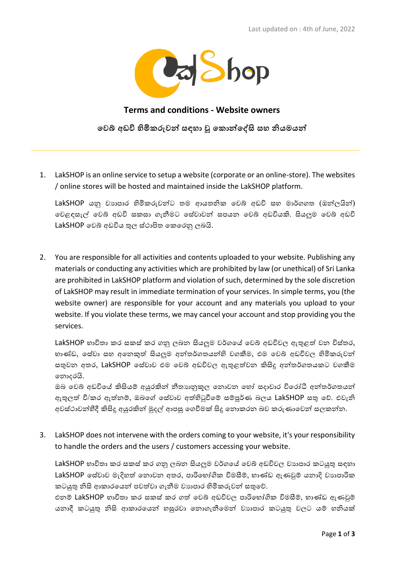

## **Terms and conditions - Website owners**

**වෙබ් අඩවි හිමිකරුෙන් සඳහා වූ වකොන්වේසි සහ නියමයන්**

1. LakSHOP is an online service to setup a website (corporate or an online-store). The websites / online stores will be hosted and maintained inside the LakSHOP platform.

LakSHOP යනු වායාපාර හිමිකරුවන්ට තම ආයතනික වෙබ් අඩවි සහ මාර්ගගත (ඔන්ලයින්) වව්ළඳසැල් වව්බ් අඩවි සකසා ගැනීමට වසේව්ාව්න් සපයන වව්බ් අඩවියකි. සියලුම වව්බ් අඩවි LakSHOP වෙබ් අඩවිය තුල ස්ථාපිත කෙරෙනු ලබයි.

2. You are responsible for all activities and contents uploaded to your website. Publishing any materials or conducting any activities which are prohibited by law (or unethical) of Sri Lanka are prohibited in LakSHOP platform and violation of such, determined by the sole discretion of LakSHOP may result in immediate termination of your services. In simple terms, you (the website owner) are responsible for your account and any materials you upload to your website. If you violate these terms, we may cancel your account and stop providing you the services.

LakSHOP භාවිතා කර සකස් කර ගනු ලබන සියලුම ව්ර්ගවේ වව්බ් අඩවිව්ල ඇතුළත් ව්න විස්තර, භාණ්ඩ, සේවා සහ අනෙකුත් සියලුම අන්තර්ගතයන්හි වගකීම, එම වෙබ් අඩවිවල හිමිකරුවන් සතුවන අතර, LakSHOP සේවාව එම වෙබ් අඩවිවල ඇතුළත්වන කිසිදු අන්තර්ගතයකට වගකීම වනොදරයි.

ඔබ වව්බ් අඩවිවේ කිසියම් අයුරකින් නීතයානුකූල වනොව්න වහෝ සදාචාර විවරෝධී අන්තර්ගතයන් ඇතුලත් වී/කර ඇත්නම්, ඔබගේ සේවාව අත්හිටුවීමේ සම්පූර්ණ බලය LakSHOP සතු වේ. එවැනි අවස්ථාවන්හීදී කිසිදු අයුරකින් මුදල් ආපසු ගෙවීමක් සිදු නොකරන බව කරුණාවෙන් සලකන්න.

3. LakSHOP does not intervene with the orders coming to your website, it's your responsibility to handle the orders and the users / customers accessing your website.

LakSHOP භාවිතා කර සකස් කර ගනු ලබන සියලුම වර්ගයේ වෙබ් අඩවිවල වාහපාර කටයුතු සඳහා LakSHOP සේවාව මැදිහත් තොවන අතර, පාරිහෝගික විමසීම්, භාණ්ඩ ඇණවුම් යනාදි වාහපාරික කටයුතු නිසි ආකාරයෙන් පවත්වා ගැනීම වායපාර හිමිකරුවන් සතුවේ.

එනම් LakSHOP භාවිතා කර සකස් කර ගත් වව්බ් අඩවිව්ල පාරිවභෝගික විමසීම්, භාණ්ඩ ඇණවුම් යනාදී කටයුතු නිසි ආකාරවයන් හසුරව්ා වනොගැනීවමන් ව්යාපාර කටයුතු ව්ලට යම් හනියක්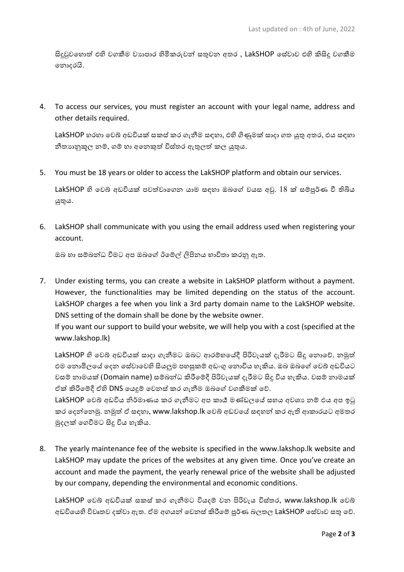සිදුවුවහොත් එහි වගකීම වායපාර හිමිකරුවත් සතුවන අතර , LakSHOP යේවාව එහි කිසිදු වගකීම වනොදරයි.

4. To access our services, you must register an account with your legal name, address and other details required.

LakSHOP හරහා වව්බ් අඩවියක් සකස් කර ගැනීම සඳහා, එහි ගිණුමක් සාදා ගත යුතු අතර, එය සඳහා නීතයානුකූල නම්, ගම් හා අවනකුත් විස්තර ඇතුලත් කල යුතුය.

5. You must be 18 years or older to access the LakSHOP platform and obtain our services.

LakSHOP හි වෙබ් අඩවියක් පවත්වාගෙන යාම සඳහා ඔබගේ වයස අවු. 18 ක් සම්පූර්ණ වී තිබිය යුතුය.

6. LakSHOP shall communicate with you using the email address used when registering your account.

ඔබ හා සම්බන්ධ වීමට අප ඔබවේ ඊවම්ල් ලිපිනය භාවිතා කරනු ඇත.

7. Under existing terms, you can create a website in LakSHOP platform without a payment. However, the functionalities may be limited depending on the status of the account. LakSHOP charges a fee when you link a 3rd party domain name to the LakSHOP website. DNS setting of the domain shall be done by the website owner.

If you want our support to build your website, we will help you with a cost (specified at the [www.lakshop.lk\)](http://www.lakshop.lk/)

LakSHOP හි වෙබ් අඩවියක් සාදා ගැනීමට ඔබට ආරම්භයේදී පිරිවැයක් දැරීමට සිදු නොවේ. නමුත් එම වනොමිලවේ වදන වසේව්ාවව්හි සියලුම පහසුකම් අඩංගු වනොවිය හැකිය. ඔබ ඔබවේ වව්බ් අඩවියට ව්සම් නාමයක් (Domain name) සම්බන්ධ කිරීවම්දී පිරිව්ැයක් දැරීමට සිදු විය හැකිය. ව්සම් නාමයක් ඒක් කිරීමේදී ඒහි DNS යෙදුම් වෙනස් කර ගැනීම ඔබගේ වගකීමක් වේ.

LakSHOP වෙබ් අඩවිය නිර්මාණය කර ගැනීමට අප කායී මණ්ඩලයේ සහය අවශා නම් එය අප ඉටු කර දෙන්නෙමු. නමුත් ඒ සඳහා, [www.lakshop.lk](http://www.lakshop.lk/) වෙබ් අඩවයේ සඳහන් කර ඇති ආකාරයට අමතර මුදලක් වගවීමට සිදු විය හැකිය.

8. The yearly maintenance fee of the website is specified in the [www.lakshop.lk](http://www.lakshop.lk/) website and LakSHOP may update the prices of the websites at any given time. Once you've create an account and made the payment, the yearly renewal price of the website shall be adjusted by our company, depending the environmental and economic conditions.

 $L$ akSHOP වෙබ් අඩවියක් සකස් කර ගැනීමට වියදම් වන පිරිවැය විස්තර, [www.lakshop.lk](http://www.lakshop.lk/) වෙබ් අඩවියෙහි විවෘතව දක්වා ඇත. ඒම අගයන් වෙනස් කිරීමේ පූර්ණ බලතල LakSHOP සේවාව සතු වේ.